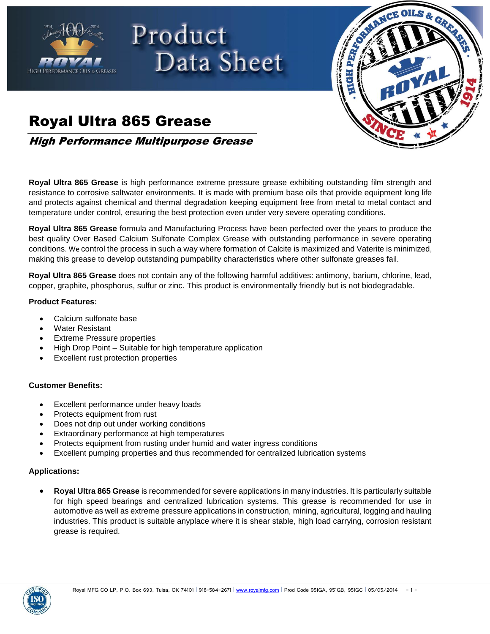

# Product Data Sheet



## Royal Ultra 865 Grease

High Performance Multipurpose Grease

**Royal Ultra 865 Grease** is high performance extreme pressure grease exhibiting outstanding film strength and resistance to corrosive saltwater environments. It is made with premium base oils that provide equipment long life and protects against chemical and thermal degradation keeping equipment free from metal to metal contact and temperature under control, ensuring the best protection even under very severe operating conditions.

**Royal Ultra 865 Grease** formula and Manufacturing Process have been perfected over the years to produce the best quality Over Based Calcium Sulfonate Complex Grease with outstanding performance in severe operating conditions. We control the process in such a way where formation of Calcite is maximized and Vaterite is minimized, making this grease to develop outstanding pumpability characteristics where other sulfonate greases fail.

**Royal Ultra 865 Grease** does not contain any of the following harmful additives: antimony, barium, chlorine, lead, copper, graphite, phosphorus, sulfur or zinc. This product is environmentally friendly but is not biodegradable.

### **Product Features:**

- Calcium sulfonate base
- Water Resistant
- Extreme Pressure properties
- High Drop Point Suitable for high temperature application
- Excellent rust protection properties

### **Customer Benefits:**

- Excellent performance under heavy loads
- Protects equipment from rust
- Does not drip out under working conditions
- Extraordinary performance at high temperatures
- Protects equipment from rusting under humid and water ingress conditions
- Excellent pumping properties and thus recommended for centralized lubrication systems

### **Applications:**

 **Royal Ultra 865 Grease** is recommended for severe applications in many industries. It is particularly suitable for high speed bearings and centralized lubrication systems. This grease is recommended for use in automotive as well as extreme pressure applications in construction, mining, agricultural, logging and hauling industries. This product is suitable anyplace where it is shear stable, high load carrying, corrosion resistant grease is required.